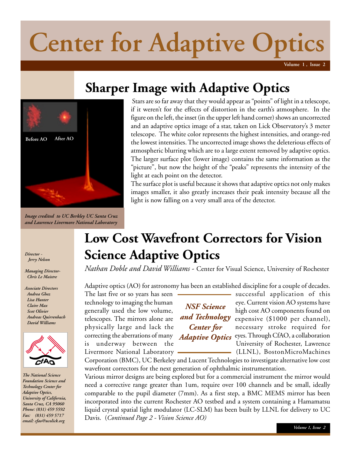# **Center for Adaptive Optics**

**Volume 1 , Issue 2**

## **Sharper Image with Adaptive Optics**



*Image credited to UC Berkley UC Santa Cruz and Lawrence Livermore National Laboratory*

*Director - Jerry Nelson*

*Managing Director- Chris Le Maistre*

*Associate Directors Andrea Ghez Lisa Hunter Claire Max Scot Olivier Andreas Quirrenbach David Williams*



*The National Science Foundation Science and Technology Center for Adaptive Optics, University of California, Santa Cruz, CA 95060 Phone: (831) 459 5592 Fax: (831) 459 5717 email: cfao@ucolick.org*

Stars are so far away that they would appear as "points" of light in a telescope, if it weren't for the effects of distortion in the earth's atmosphere. In the figure on the left, the inset (in the upper left hand corner) shows an uncorrected and an adaptive optics image of a star, taken on Lick Observatory's 3 meter telescope. The white color represents the highest intensities, and orange-red the lowest intensities. The uncorrected image shows the deleterious effects of atmospheric blurring which are to a large extent removed by adaptive optics. The larger surface plot (lower image) contains the same information as the "picture", but now the height of the "peaks" represents the intensity of the light at each point on the detector.

The surface plot is useful because it shows that adaptive optics not only makes images smaller, it also greatly increases their peak intensity because all the light is now falling on a very small area of the detector.

## **Low Cost Wavefront Correctors for Vision Science Adaptive Optics**

*Nathan Doble and David Williams* - Center for Visual Science, University of Rochester

Adaptive optics (AO) for astronomy has been an established discipline for a couple of decades.

The last five or so years has seen successful application of this Livermore National Laboratory (LLNL), BostonMicroMachines

*NSF Science and Technology Center for Adaptive Optics*

technology to imaging the human  $\mathbf{r}$   $\mathbf{r}$   $\mathbf{r}$   $\mathbf{r}$   $\mathbf{r}$   $\mathbf{r}$   $\mathbf{r}$   $\mathbf{r}$   $\mathbf{r}$   $\mathbf{r}$   $\mathbf{r}$   $\mathbf{r}$   $\mathbf{r}$   $\mathbf{r}$   $\mathbf{r}$   $\mathbf{r}$   $\mathbf{r}$   $\mathbf{r}$   $\mathbf{r}$   $\mathbf{r}$   $\mathbf{r}$  generally used the low volume, AVOI SULFACE high cost AO components found on telescopes. The mirrors alone are **and lechnology** expensive  $(\$1000$  per channel), physically large and lack the **Center for** necessary stroke required for correcting the aberrations of many  $\overrightarrow{A}$  *Adaptine Optics* eyes. Through CfAO, a collaboration is underway between the  $\overline{1}$   $\overline{1}$  University of Rochester, Lawrence

Corporation (BMC), UC Berkeley and Lucent Technologies to investigate alternative low cost wavefront correctors for the next generation of ophthalmic instrumentation.

Various mirror designs are being explored but for a commercial instrument the mirror would need a corrective range greater than 1um, require over 100 channels and be small, ideally comparable to the pupil diameter (7mm). As a first step, a BMC MEMS mirror has been incorporated into the current Rochester AO testbed and a system containing a Hamamatsu liquid crystal spatial light modulator (LC-SLM) has been built by LLNL for delivery to UC Davis. (*Continued Page 2 - Vision Science AO)*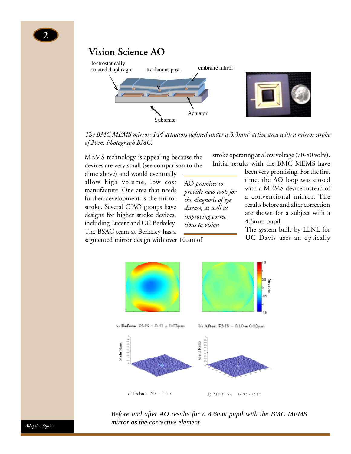**2**



*The BMC MEMS mirror: 144 actuators defined under a 3.3mm2 active area with a mirror stroke of 2*u*m. Photograph BMC.*

MEMS technology is appealing because the devices are very small (see comparison to the

dime above) and would eventually allow high volume, low cost manufacture. One area that needs further development is the mirror stroke. Several CfAO groups have designs for higher stroke devices, including Lucent and UC Berkeley. The BSAC team at Berkeley has a

AO *promises to provide new tools for the diagnosis of eye disease, as well as improving corrections to vision*

stroke operating at a low voltage (70-80 volts). Initial results with the BMC MEMS have

> been very promising. For the first time, the AO loop was closed with a MEMS device instead of a conventional mirror. The results before and after correction are shown for a subject with a 4.6mm pupil.

> The system built by LLNL for UC Davis uses an optically

segmented mirror design with over 10um of



*Before and after AO results for a 4.6mm pupil with the BMC MEMS mirror as the corrective element*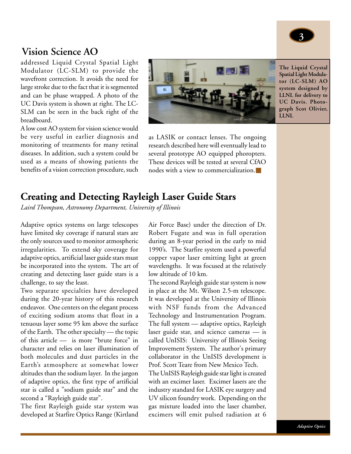

### **Vision Science AO**

addressed Liquid Crystal Spatial Light Modulator (LC-SLM) to provide the wavefront correction. It avoids the need for large stroke due to the fact that it is segmented and can be phase wrapped. A photo of the UC Davis system is shown at right. The LC-SLM can be seen in the back right of the breadboard.

A low cost AO system for vision science would be very useful in earlier diagnosis and monitoring of treatments for many retinal diseases. In addition, such a system could be used as a means of showing patients the benefits of a vision correction procedure, such



**The Liquid Crystal Spatial Light Modulator (LC-SLM) AO system designed by LLNL for delivery to UC Davis. Photograph Scot Olivier, LLNL**

as LASIK or contact lenses. The ongoing research described here will eventually lead to several prototype AO equipped phoropters. These devices will be tested at several CfAO nodes with a view to commercialization.■

### **Creating and Detecting Rayleigh Laser Guide Stars**

*Laird Thompson, Astronomy Department, University of Illinois*

Adaptive optics systems on large telescopes have limited sky coverage if natural stars are the only sources used to monitor atmospheric irregularities. To extend sky coverage for adaptive optics, artificial laser guide stars must be incorporated into the system. The art of creating and detecting laser guide stars is a challenge, to say the least.

Two separate specialties have developed during the 20-year history of this research endeavor. One centers on the elegant process of exciting sodium atoms that float in a tenuous layer some 95 km above the surface of the Earth. The other specialty — the topic of this article — is more "brute force" in character and relies on laser illumination of both molecules and dust particles in the Earth's atmosphere at somewhat lower altitudes than the sodium layer. In the jargon of adaptive optics, the first type of artificial star is called a "sodium guide star" and the second a "Rayleigh guide star".

The first Rayleigh guide star system was developed at Starfire Optics Range (Kirtland Air Force Base) under the direction of Dr. Robert Fugate and was in full operation during an 8-year period in the early to mid 1990's. The Starfire system used a powerful copper vapor laser emitting light at green wavelengths. It was focused at the relatively low altitude of 10 km.

The second Rayleigh guide star system is now in place at the Mt. Wilson 2.5-m telescope. It was developed at the University of Illinois with NSF funds from the Advanced Technology and Instrumentation Program. The full system — adaptive optics, Rayleigh laser guide star, and science cameras — is called UnISIS: University of Illinois Seeing Improvement System. The author's primary collaborator in the UnISIS development is Prof. Scott Teare from New Mexico Tech.

The UnISIS Rayleigh guide star light is created with an excimer laser. Excimer lasers are the industry standard for LASIK eye surgery and UV silicon foundry work. Depending on the gas mixture loaded into the laser chamber, excimers will emit pulsed radiation at 6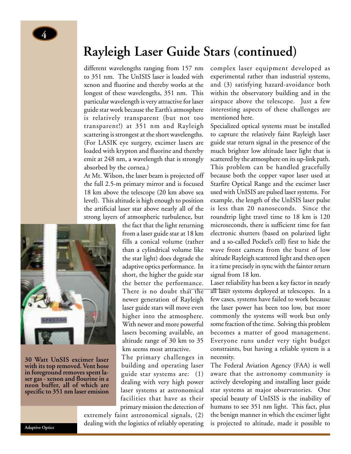

## **Rayleigh Laser Guide Stars (continued)**

different wavelengths ranging from 157 nm to 351 nm. The UnISIS laser is loaded with xenon and fluorine and thereby works at the longest of these wavelengths, 351 nm. This particular wavelength is very attractive for laser guide star work because the Earth's atmosphere is relatively transparent (but not too transparent!) at 351 nm and Rayleigh scattering is strongest at the short wavelengths. (For LASIK eye surgery, excimer lasers are loaded with krypton and fluorine and thereby emit at 248 nm, a wavelength that is strongly absorbed by the cornea.)

At Mt. Wilson, the laser beam is projected off the full 2.5-m primary mirror and is focused 18 km above the telescope (20 km above sea level). This altitude is high enough to position the artificial laser star above nearly all of the strong layers of atmospheric turbulence, but



**30 Watt UnSIS excimer laser with its top removed. Vent hose in foreground removes spent laser gas - xenon and flourine in a neon buffer, all of which are specific to 351 nm laser emision**

the fact that the light returning from a laser guide star at 18 km fills a conical volume (rather than a cylindrical volume like the star light) does degrade the adaptive optics performance. In short, the higher the guide star the better the performance. There is no doubt that the newer generation of Rayleigh laser guide stars will move even higher into the atmosphere. With newer and more powerful lasers becoming available, an altitude range of 30 km to 35 km seems most attractive.

The primary challenges in building and operating laser guide star systems are: (1) dealing with very high power laser systems at astronomical facilities that have as their primary mission the detection of

extremely faint astronomical signals, (2) dealing with the logistics of reliably operating complex laser equipment developed as experimental rather than industrial systems, and (3) satisfying hazard-avoidance both within the observatory building and in the airspace above the telescope. Just a few interesting aspects of these challenges are mentioned here.

Specialized optical systems must be installed to capture the relatively faint Rayleigh laser guide star return signal in the presence of the much brighter low altitude laser light that is scattered by the atmosphere on its up-link path. This problem can be handled gracefully because both the copper vapor laser used at Starfire Optical Range and the excimer laser used with UnISIS are pulsed laser systems. For example, the length of the UnISIS laser pulse is less than 20 nanoseconds. Since the roundtrip light travel time to 18 km is 120 microseconds, there is sufficient time for fast electronic shutters (based on polarized light and a so-called Pockel's cell) first to hide the wave front camera from the burst of low altitude Rayleigh scattered light and then open it a time precisely in sync with the fainter return signal from 18 km.

Laser reliability has been a key factor in nearly all laser systems deployed at telescopes. In a few cases, systems have failed to work because the laser power has been too low, but more commonly the systems will work but only some fraction of the time. Solving this problem becomes a matter of good management. Everyone runs under very tight budget constraints, but having a reliable system is a necessity.

The Federal Aviation Agency (FAA) is well aware that the astronomy community is actively developing and installing laser guide star systems at major observatories. One special beauty of UnISIS is the inability of humans to see 351 nm light. This fact, plus the benign manner in which the excimer light is projected to altitude, made it possible to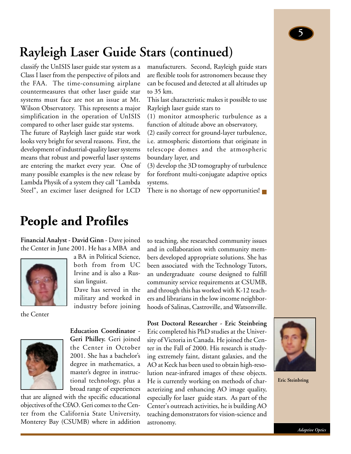## **Rayleigh Laser Guide Stars (continued)**

classify the UnISIS laser guide star system as a Class I laser from the perspective of pilots and the FAA. The time-consuming airplane countermeasures that other laser guide star systems must face are not an issue at Mt. Wilson Observatory. This represents a major simplification in the operation of UnISIS compared to other laser guide star systems.

The future of Rayleigh laser guide star work looks very bright for several reasons. First, the development of industrial-quality laser systems means that robust and powerful laser systems are entering the market every year. One of many possible examples is the new release by Lambda Physik of a system they call "Lambda Steel", an excimer laser designed for LCD

manufacturers. Second, Rayleigh guide stars are flexible tools for astronomers because they can be focused and detected at all altitudes up to 35 km.

This last characteristic makes it possible to use Rayleigh laser guide stars to

(1) monitor atmospheric turbulence as a function of altitude above an observatory,

(2) easily correct for ground-layer turbulence, i.e. atmospheric distortions that originate in telescope domes and the atmospheric boundary layer, and

(3) develop the 3D tomography of turbulence for forefront multi-conjugate adaptive optics systems.

There is no shortage of new opportunities!

## **People and Profiles**

**Financial Analyst - David Ginn** - Dave joined the Center in June 2001. He has a MBA and

sian linguist.



the Center



**Education Coordinator - Geri Philley.** Geri joined the Center in October 2001. She has a bachelor's degree in mathematics, a master's degree in instructional technology, plus a broad range of experiences

a BA in Political Science, both from from UC Irvine and is also a Rus-

Dave has served in the military and worked in industry before joining

that are aligned with the specific educational objectives of the CfAO. Geri comes to the Center from the California State University, Monterey Bay (CSUMB) where in addition

to teaching, she researched community issues and in collaboration with community members developed appropriate solutions. She has been associated with the Technology Tutors, an undergraduate course designed to fulfill community service requirements at CSUMB, and through this has worked with K-12 teachers and librarians in the low income neighborhoods of Salinas, Castroville, and Watsonville.

**Post Doctoral Researcher - Eric Steinbring** Eric completed his PhD studies at the University of Victoria in Canada. He joined the Center in the Fall of 2000. His research is studying extremely faint, distant galaxies, and the AO at Keck has been used to obtain high-resolution near-infrared images of these objects. He is currently working on methods of characterizing and enhancing AO image quality, especially for laser guide stars. As part of the Center's outreach activities, he is building AO teaching demonstrators for vision-science and astronomy.



**Eric Steinbring**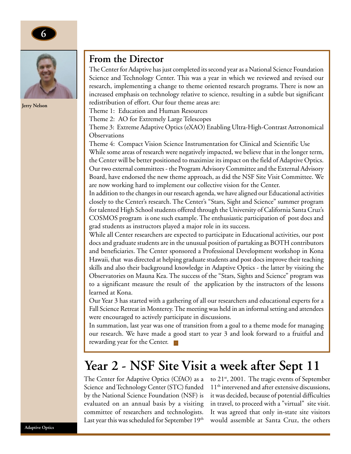



**Jerry Nelson**

### **From the Director**

The Center for Adaptive has just completed its second year as a National Science Foundation Science and Technology Center. This was a year in which we reviewed and revised our research, implementing a change to theme oriented research programs. There is now an increased emphasis on technology relative to science, resulting in a subtle but significant redistribution of effort. Our four theme areas are:

Theme 1: Education and Human Resources

Theme 2: AO for Extremely Large Telescopes

Theme 3: Extreme Adaptive Optics (eXAO) Enabling Ultra-High-Contrast Astronomical **Observations** 

Theme 4: Compact Vision Science Instrumentation for Clinical and Scientific Use While some areas of research were negatively impacted, we believe that in the longer term, the Center will be better positioned to maximize its impact on the field of Adaptive Optics. Our two external committees - the Program Advisory Committee and the External Advisory Board, have endorsed the new theme approach, as did the NSF Site Visit Committee. We are now working hard to implement our collective vision for the Center.

In addition to the changes in our research agenda, we have aligned our Educational activities closely to the Center's research. The Center's "Stars, Sight and Science" summer program for talented High School students offered through the University of California Santa Cruz's COSMOS program is one such example. The enthusiastic participation of post docs and grad students as instructors played a major role in its success.

While all Center researchers are expected to participate in Educational activities, our post docs and graduate students are in the unusual position of partaking as BOTH contributors and beneficiaries. The Center sponsored a Professional Development workshop in Kona Hawaii, that was directed at helping graduate students and post docs improve their teaching skills and also their background knowledge in Adaptive Optics - the latter by visiting the Observatories on Mauna Kea. The success of the "Stars, Sights and Science" program was to a significant measure the result of the application by the instructors of the lessons learned at Kona.

Our Year 3 has started with a gathering of all our researchers and educational experts for a Fall Science Retreat in Monterey. The meeting was held in an informal setting and attendees were encouraged to actively participate in discussions.

In summation, last year was one of transition from a goal to a theme mode for managing our research. We have made a good start to year 3 and look forward to a fruitful and rewarding year for the Center. l a l

## **Year 2 - NSF Site Visit a week after Sept 11**

The Center for Adaptive Optics (CfAO) as a Science and Technology Center (STC) funded by the National Science Foundation (NSF) is evaluated on an annual basis by a visiting committee of researchers and technologists. Last year this was scheduled for September 19<sup>th</sup> to  $21^{st}$ , 2001. The tragic events of September 11<sup>th</sup> intervened and after extensive discussions, it was decided, because of potential difficulties in travel, to proceed with a "virtual" site visit. It was agreed that only in-state site visitors would assemble at Santa Cruz, the others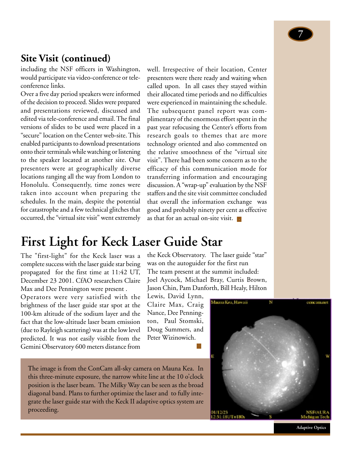## **Site Visit (continued)**

including the NSF officers in Washington, would participate via video-conference or teleconference links.

Over a five day period speakers were informed of the decision to proceed. Slides were prepared and presentations reviewed, discussed and edited via tele-conference and email. The final versions of slides to be used were placed in a "secure" location on the Center web-site. This enabled participants to download presentations onto their terminals while watching or listening to the speaker located at another site. Our presenters were at geographically diverse locations ranging all the way from London to Honolulu. Consequently, time zones were taken into account when preparing the schedules. In the main, despite the potential for catastrophe and a few technical glitches that occurred, the "virtual site visit" went extremely

well. Irrespective of their location, Center presenters were there ready and waiting when called upon. In all cases they stayed within their allocated time periods and no difficulties were experienced in maintaining the schedule. The subsequent panel report was complimentary of the enormous effort spent in the past year refocusing the Center's efforts from research goals to themes that are more technology oriented and also commented on the relative smoothness of the "virtual site visit". There had been some concern as to the efficacy of this communication mode for transferring information and encouraging discussion. A "wrap-up" evaluation by the NSF staffers and the site visit committee concluded that overall the information exchange was good and probably ninety per cent as effective as that for an actual on-site visit.

## **First Light for Keck Laser Guide Star**

The "first-light" for the Keck laser was a complete success with the laser guide star being propagated for the first time at 11:42 UT, December 23 2001. CfAO researchers Claire Max and Dee Pennington were present .

Operators were very satisfied with the brightness of the laser guide star spot at the 100-km altitude of the sodium layer and the fact that the low-altitude laser beam emission (due to Rayleigh scattering) was at the low level predicted. It was not easily visible from the Gemini Observatory 600 meters distance from

the Keck Observatory. The laser guide "star" was on the autoguider for the first run The team present at the summit included: Joel Aycock, Michael Bray, Curtis Brown, Jason Chin, Pam Danforth, Bill Healy, Hilton

Lewis, David Lynn, Claire Max, Craig Nance, Dee Pennington, Paul Stomski, Doug Summers, and Peter Wizinowich.

The image is from the ConCam all-sky camera on Mauna Kea. In this three-minute exposure, the narrow white line at the 10 o'clock position is the laser beam. The Milky Way can be seen as the broad diagonal band. Plans to further optimize the laser and to fully integrate the laser guide star with the Keck II adaptive optics system are proceeding.

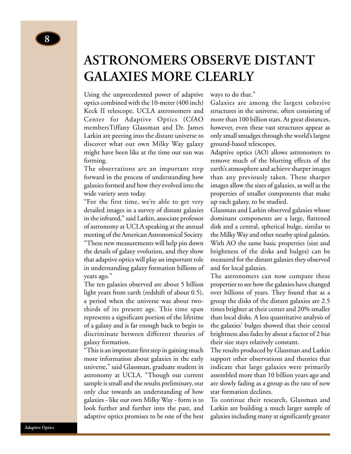## **ASTRONOMERS OBSERVE DISTANT GALAXIES MORE CLEARLY**

Using the unprecedented power of adaptive optics combined with the 10-meter (400 inch) Keck II telescope, UCLA astronomers and Center for Adaptive Optics (CfAO membersTiffany Glassman and Dr. James Larkin are peering into the distant universe to discover what our own Milky Way galaxy might have been like at the time our sun was forming.

The observations are an important step forward in the process of understanding how galaxies formed and how they evolved into the wide variety seen today.

"For the first time, we're able to get very detailed images in a survey of distant galaxies in the infrared," said Larkin, associate professor of astronomy at UCLA speaking at the annual meeting of the American Astronomical Society. "These new measurements will help pin down the details of galaxy evolution, and they show that adaptive optics will play an important role in understanding galaxy formation billions of years ago."

The ten galaxies observed are about 5 billion light years from earth (redshift of about 0.5), a period when the universe was about twothirds of its present age. This time span represents a significant portion of the lifetime of a galaxy and is far enough back to begin to discriminate between different theories of galaxy formation.

"This is an important first step in gaining much more information about galaxies in the early universe," said Glassman, graduate student in astronomy at UCLA. "Though our current sample is small and the results preliminary, our only clue towards an understanding of how galaxies - like our own Milky Way - form is to look further and further into the past, and adaptive optics promises to be one of the best

### ways to do that."

Galaxies are among the largest cohesive structures in the universe, often consisting of more than 100 billion stars. At great distances, however, even these vast structures appear as only small smudges through the world's largest ground-based telescopes.

Adaptive optics (AO) allows astronomers to remove much of the blurring effects of the earth's atmosphere and achieve sharper images than any previously taken. These sharper images allow the sizes of galaxies, as well as the properties of smaller components that make up each galaxy, to be studied.

Glassman and Larkin observed galaxies whose dominant components are a large, flattened disk and a central, spherical bulge, similar to the Milky Way and other nearby spiral galaxies. With AO the same basic properties (size and brightness of the disks and bulges) can be measured for the distant galaxies they observed and for local galaxies.

The astronomers can now compare these properties to see how the galaxies have changed over billions of years. They found that as a group the disks of the distant galaxies are 2.5 times brighter at their center and 20% smaller than local disks. A less quantitative analysis of the galaxies' bulges showed that their central brightness also fades by about a factor of 2 but their size stays relatively constant.

The results produced by Glassman and Larkin support other observations and theories that indicate that large galaxies were primarily assembled more than 10 billion years ago and are slowly fading as a group as the rate of new star formation declines.

To continue their research, Glassman and Larkin are building a much larger sample of galaxies including many at significantly greater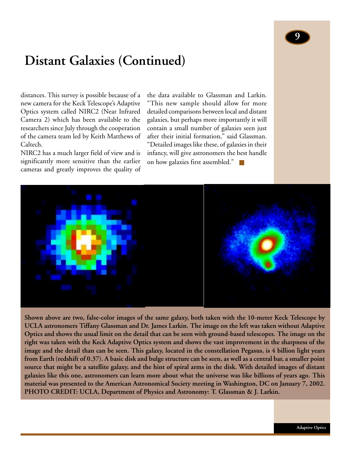## **Distant Galaxies (Continued)**

distances. This survey is possible because of a new camera for the Keck Telescope's Adaptive Optics system called NIRC2 (Near Infrared Camera 2) which has been available to the researchers since July through the cooperation of the camera team led by Keith Matthews of Caltech.

NIRC2 has a much larger field of view and is significantly more sensitive than the earlier cameras and greatly improves the quality of

the data available to Glassman and Larkin. "This new sample should allow for more detailed comparisons between local and distant galaxies, but perhaps more importantly it will contain a small number of galaxies seen just after their initial formation," said Glassman. "Detailed images like these, of galaxies in their infancy, will give astronomers the best handle on how galaxies first assembled."



**Shown above are two, false-color images of the same galaxy, both taken with the 10-meter Keck Telescope by UCLA astronomers Tiffany Glassman and Dr. James Larkin. The image on the left was taken without Adaptive Optics and shows the usual limit on the detail that can be seen with ground-based telescopes. The image on the right was taken with the Keck Adaptive Optics system and shows the vast improvement in the sharpness of the image and the detail than can be seen. This galaxy, located in the constellation Pegasus, is 4 billion light years from Earth (redshift of 0.37). A basic disk and bulge structure can be seen, as well as a central bar, a smaller point source that might be a satellite galaxy, and the hint of spiral arms in the disk. With detailed images of distant galaxies like this one, astronomers can learn more about what the universe was like billions of years ago. This material was presented to the American Astronomical Society meeting in Washington, DC on January 7, 2002. PHOTO CREDIT: UCLA, Department of Physics and Astronomy: T. Glassman & J. Larkin.**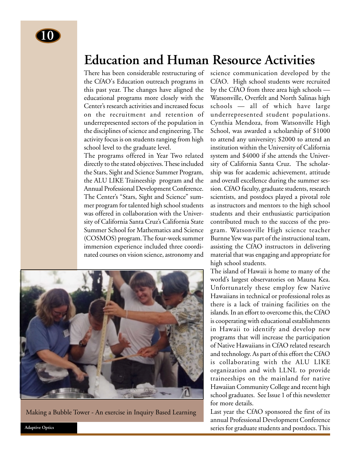## **Education and Human Resource Activities**

There has been considerable restructuring of the CfAO's Education outreach programs in this past year. The changes have aligned the educational programs more closely with the Center's research activities and increased focus on the recruitment and retention of underrepresented sectors of the population in the disciplines of science and engineering. The activity focus is on students ranging from high school level to the graduate level.

The programs offered in Year Two related directly to the stated objectives. These included the Stars, Sight and Science Summer Program, the ALU LIKE Traineeship program and the Annual Professional Development Conference. The Center's "Stars, Sight and Science" summer program for talented high school students was offered in collaboration with the University of California Santa Cruz's California State Summer School for Mathematics and Science (COSMOS) program. The four-week summer immersion experience included three coordinated courses on vision science, astronomy and



Making a Bubble Tower - An exercise in Inquiry Based Learning

science communication developed by the CfAO. High school students were recruited by the CfAO from three area high schools — Watsonville, Overfelt and North Salinas high schools — all of which have large underrepresented student populations. Cynthia Mendoza, from Watsonville High School, was awarded a scholarship of \$1000 to attend any university; \$2000 to attend an institution within the University of California system and \$4000 if she attends the University of California Santa Cruz. The scholarship was for academic achievement, attitude and overall excellence during the summer session. CfAO faculty, graduate students, research scientists, and postdocs played a pivotal role as instructors and mentors to the high school students and their enthusiastic participation contributed much to the success of the program. Watsonville High science teacher Burnne Yew was part of the instructional team, assisting the CfAO instructors in delivering material that was engaging and appropriate for high school students.

The island of Hawaii is home to many of the world's largest observatories on Mauna Kea. Unfortunately these employ few Native Hawaiians in technical or professional roles as there is a lack of training facilities on the islands. In an effort to overcome this, the CfAO is cooperating with educational establishments in Hawaii to identify and develop new programs that will increase the participation of Native Hawaiians in CfAO related research and technology. As part of this effort the CfAO is collaborating with the ALU LIKE organization and with LLNL to provide traineeships on the mainland for native Hawaiian Community College and recent high school graduates. See Issue 1 of this newsletter for more details.

Last year the CfAO sponsored the first of its annual Professional Development Conference series for graduate students and postdocs. This

**Adaptive Optics**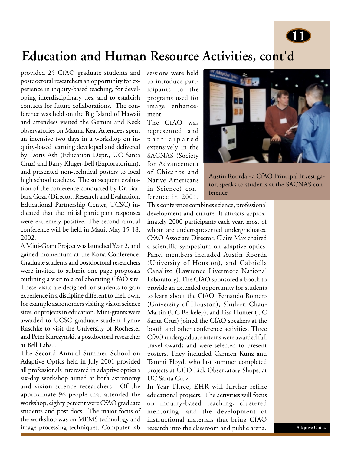

## **Education and Human Resource Activities, cont'd**

provided 25 CfAO graduate students and postdoctoral researchers an opportunity for experience in inquiry-based teaching, for developing interdisciplinary ties, and to establish contacts for future collaborations. The conference was held on the Big Island of Hawaii and attendees visited the Gemini and Keck observatories on Mauna Kea. Attendees spent an intensive two days in a workshop on inquiry-based learning developed and delivered by Doris Ash (Education Dept., UC Santa Cruz) and Barry Kluger-Bell (Exploratorium), and presented non-technical posters to local high school teachers. The subsequent evaluation of the conference conducted by Dr. Barbara Goza (Director, Research and Evaluation, Educational Partnership Center, UCSC) indicated that the initial participant responses were extremely positive. The second annual conference will be held in Maui, May 15-18, 2002.

A Mini-Grant Project was launched Year 2, and gained momentum at the Kona Conference. Graduate students and postdoctoral researchers were invited to submit one-page proposals outlining a visit to a collaborating CfAO site. These visits are designed for students to gain experience in a discipline different to their own, for example astronomers visiting vision science sites, or projects in education. Mini-grants were awarded to UCSC graduate student Lynne Raschke to visit the University of Rochester and Peter Kurczynski, a postdoctoral researcher at Bell Labs. .

The Second Annual Summer School on Adaptive Optics held in July 2001 provided all professionals interested in adaptive optics a six-day workshop aimed at both astronomy and vision science researchers. Of the approximate 96 people that attended the workshop, eighty percent were CfAO graduate students and post docs. The major focus of the workshop was on MEMS technology and image processing techniques. Computer lab

sessions were held to introduce participants to the programs used for image enhancement.

The CfAO was represented and participated extensively in the SACNAS (Society for Advancement of Chicanos and Native Americans in Science) conference in 2001.



Austin Roorda - a CfAO Principal Investigator, speaks to students at the SACNAS conference

This conference combines science, professional development and culture. It attracts approximately 2000 participants each year, most of whom are underrepresented undergraduates. CfAO Associate Director, Claire Max chaired a scientific symposium on adaptive optics. Panel members included Austin Roorda (University of Houston), and Gabriella Canalizo (Lawrence Livermore National Laboratory). The CfAO sponsored a booth to provide an extended opportunity for students to learn about the CfAO. Fernando Romero (University of Houston), Shuleen Chau-Martin (UC Berkeley), and Lisa Hunter (UC Santa Cruz) joined the CfAO speakers at the booth and other conference activities. Three CfAO undergraduate interns were awarded full travel awards and were selected to present posters. They included Carmen Kunz and Tammi Floyd, who last summer completed projects at UCO Lick Observatory Shops, at UC Santa Cruz.

In Year Three, EHR will further refine educational projects. The activities will focus on inquiry-based teaching, clustered mentoring, and the development of instructional materials that bring CfAO research into the classroom and public arena.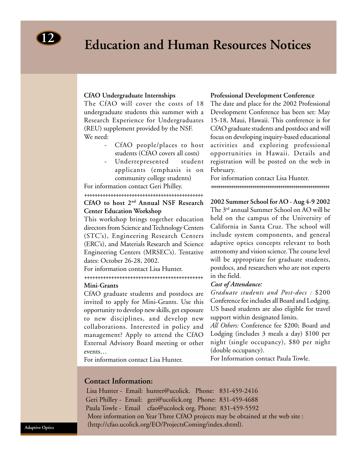## **Education and Human Resources Notices <sup>12</sup>**

### **CfAO Undergraduate Internships**

The CfAO will cover the costs of 18 undergraduate students this summer with a Research Experience for Undergraduates (REU) supplement provided by the NSF. We need:

- CfAO people/places to host students (CfAO covers all costs)
- Underrepresented student applicants (emphasis is on community college students)

For information contact Geri Philley.

### +++++++++++++++++++++++++++++++++++++++++++++ **CfAO to host 2nd Annual NSF Research Center Education Workshop**

This workshop brings together education directors from Science and Technology Centers (STC's), Engineering Research Centers (ERC's), and Materials Research and Science Engineering Centers (MRSEC's). Tentative dates: October 26-28, 2002.

For information contact Lisa Hunter.

### ++++++++++++++++++++++++++++++++++++++++++++ **Mini-Grants**

CfAO graduate students and postdocs are invited to apply for Mini-Grants. Use this opportunity to develop new skills, get exposure to new disciplines, and develop new collaborations. Interested in policy and management? Apply to attend the CfAO External Advisory Board meeting or other events…

For information contact Lisa Hunter.

### **Professional Development Conference**

The date and place for the 2002 Professional Development Conference has been set: May 15-18, Maui, Hawaii. This conference is for CfAO graduate students and postdocs and will focus on developing inquiry-based educational activities and exploring professional opportunities in Hawaii. Details and registration will be posted on the web in February.

For information contact Lisa Hunter. +++++++++++++++++++++++++++++++++++++++++++++++++++++++++++++++

### **2002 Summer School for AO - Aug 4-9 2002**

The 3rd annual Summer School on AO will be held on the campus of the University of California in Santa Cruz. The school will include system components, and general adaptive optics concepts relevant to both astronomy and vision science. The course level will be appropriate for graduate students, postdocs, and researchers who are not experts in the field.

### *Cost of Attendance:*

*Graduate students and Post-docs :* \$200 Conference fee includes all Board and Lodging. US based students are also eligible for travel support within designated limits.

*All Others:* Conference fee \$200; Board and Lodging (includes 3 meals a day) \$100 per night (single occupancy), \$80 per night (double occupancy).

For Information contact Paula Towle.

### **Contact Information:**

Lisa Hunter - Email: hunter@ucolick. Phone: 831-459-2416 Geri Philley - Email: geri@ucolick.org Phone: 831-459-4688 Paula Towle - Email cfao@ucolock org. Phone: 831-459-5592 More information on Year Three CfAO projects may be obtained at the web site : (http://cfao.ucolick.org/EO/ProjectsComing/index.shtml).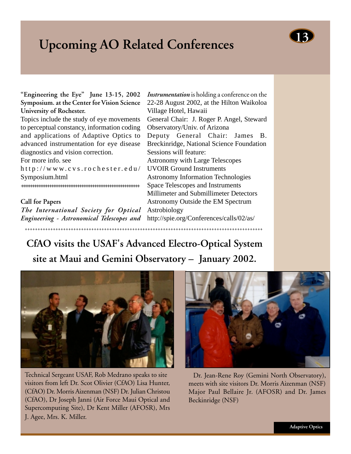## **Upcoming AO Related Conferences**



Topics include the study of eye movements to perceptual constancy, information coding and applications of Adaptive Optics to advanced instrumentation for eye disease diagnostics and vision correction.

For more info. see

http://www.cvs.rochester.edu/ Symposium.html

+++++++++++++++++++++++++++++++++++++++++++++++++++++++++++++++

### **Call for Papers**

*The International Society for Optical Engineering - Astronomical Telescopes and*

*Instrumentation* is holding a conference on the 22-28 August 2002, at the Hilton Waikoloa Village Hotel, Hawaii General Chair: J. Roger P. Angel, Steward Observatory/Univ. of Arizona Deputy General Chair: James B. Breckinridge, National Science Foundation Sessions will feature: Astronomy with Large Telescopes UVOIR Ground Instruments Astronomy Information Technologies Space Telescopes and Instruments Millimeter and Submillimeter Detectors Astronomy Outside the EM Spectrum Astrobiology

http://spie.org/Conferences/calls/02/as/

**CfAO visits the USAF's Advanced Electro-Optical System site at Maui and Gemini Observatory – January 2002.**

+++++++++++++++++++++++++++++++++++++++++++++++++++++++++++++++++++++++++++++++++++++++++++++



Technical Sergeant USAF, Rob Medrano speaks to site visitors from left Dr. Scot Olivier (CfAO) Lisa Hunter, (CfAO) Dr. Morris Aizenman (NSF) Dr. Julian Christou (CfAO), Dr Joseph Janni (Air Force Maui Optical and Supercomputing Site), Dr Kent Miller (AFOSR), Mrs J. Agee, Mrs. K. Miller.



Dr. Jean-Rene Roy (Gemini North Observatory), meets with site visitors Dr. Morris Aizenman (NSF) Major Paul Bellaire Jr. (AFOSR) and Dr. James Beckinridge (NSF)

**13**